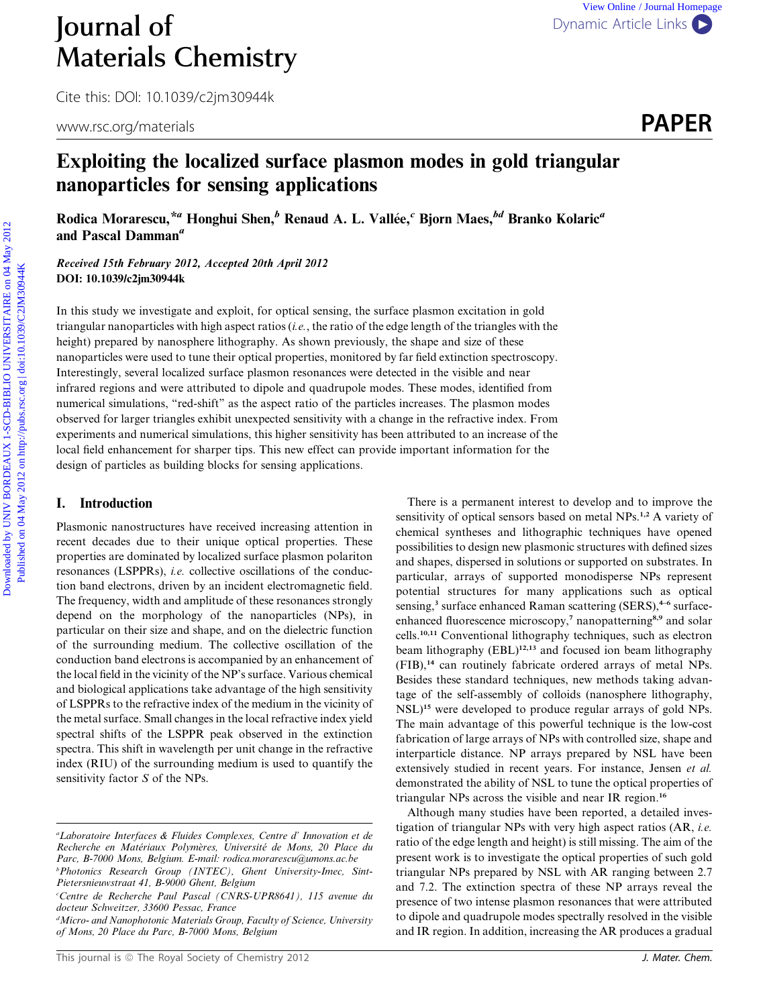# **Journal of** [Dynamic Article Links](http://dx.doi.org/10.1039/c2jm30944k) Materials Chemistry

 $\sum_{i=1}^{n}$ 

There is a permanent interest to develop and to improve the sensitivity of optical sensors based on metal NPs.<sup>1,2</sup> A variety of chemical syntheses and lithographic techniques have opened possibilities to design new plasmonic structures with defined sizes and shapes, dispersed in solutions or supported on substrates. In particular, arrays of supported monodisperse NPs represent potential structures for many applications such as optical sensing,<sup>3</sup> surface enhanced Raman scattering (SERS),<sup>4-6</sup> surfaceenhanced fluorescence microscopy,<sup>7</sup> nanopatterning<sup>8,9</sup> and solar cells.10,11 Conventional lithography techniques, such as electron beam lithography (EBL)<sup>12,13</sup> and focused ion beam lithography (FIB),<sup>14</sup> can routinely fabricate ordered arrays of metal NPs. Besides these standard techniques, new methods taking advantage of the self-assembly of colloids (nanosphere lithography, NSL)<sup>15</sup> were developed to produce regular arrays of gold NPs. The main advantage of this powerful technique is the low-cost fabrication of large arrays of NPs with controlled size, shape and interparticle distance. NP arrays prepared by NSL have been extensively studied in recent years. For instance, Jensen et al. demonstrated the ability of NSL to tune the optical properties of

triangular NPs across the visible and near IR region.<sup>16</sup>

Although many studies have been reported, a detailed investigation of triangular NPs with very high aspect ratios (AR, i.e. ratio of the edge length and height) is still missing. The aim of the present work is to investigate the optical properties of such gold



# Exploiting the localized surface plasmon modes in gold triangular nanoparticles for sensing applications

Rodica Morarescu, \*a Honghui Shen, $^b$  Renaud A. L. Vallée, $^c$  Bjorn Maes, $^{bd}$  Branko Kolaric<sup>a</sup> and Pascal Damman<sup>a</sup>

Received 15th February 2012, Accepted 20th April 2012 DOI: 10.1039/c2jm30944k

In this study we investigate and exploit, for optical sensing, the surface plasmon excitation in gold triangular nanoparticles with high aspect ratios (*i.e.*, the ratio of the edge length of the triangles with the height) prepared by nanosphere lithography. As shown previously, the shape and size of these nanoparticles were used to tune their optical properties, monitored by far field extinction spectroscopy. Interestingly, several localized surface plasmon resonances were detected in the visible and near infrared regions and were attributed to dipole and quadrupole modes. These modes, identified from numerical simulations, "red-shift" as the aspect ratio of the particles increases. The plasmon modes observed for larger triangles exhibit unexpected sensitivity with a change in the refractive index. From experiments and numerical simulations, this higher sensitivity has been attributed to an increase of the local field enhancement for sharper tips. This new effect can provide important information for the design of particles as building blocks for sensing applications. **Journal of**<br> **Materials Chemistry**<br>
Cite this DOE 10.1039/c2Jm30944k<br>
www.mc.org/materials<br> **Exploiting the localized surface plasmon modes in gold triangular<br>
<b>EXPloiting the localized surface plasmon modes in gold tria** 

# I. Introduction

Plasmonic nanostructures have received increasing attention in recent decades due to their unique optical properties. These properties are dominated by localized surface plasmon polariton resonances (LSPPRs), i.e. collective oscillations of the conduction band electrons, driven by an incident electromagnetic field. The frequency, width and amplitude of these resonances strongly depend on the morphology of the nanoparticles (NPs), in particular on their size and shape, and on the dielectric function of the surrounding medium. The collective oscillation of the conduction band electrons is accompanied by an enhancement of the local field in the vicinity of the NP's surface. Various chemical and biological applications take advantage of the high sensitivity of LSPPRs to the refractive index of the medium in the vicinity of the metal surface. Small changes in the local refractive index yield spectral shifts of the LSPPR peak observed in the extinction spectra. This shift in wavelength per unit change in the refractive index (RIU) of the surrounding medium is used to quantify the sensitivity factor S of the NPs.

b Photonics Research Group (INTEC), Ghent University-Imec, Sint-Pietersnieuwstraat 41, B-9000 Ghent, Belgium

c Centre de Recherche Paul Pascal (CNRS-UPR8641), 115 avenue du docteur Schweitzer, 33600 Pessac, France

<sup>d</sup>Micro- and Nanophotonic Materials Group, Faculty of Science, University of Mons, 20 Place du Parc, B-7000 Mons, Belgium

triangular NPs prepared by NSL with AR ranging between 2.7 and 7.2. The extinction spectra of these NP arrays reveal the presence of two intense plasmon resonances that were attributed to dipole and quadrupole modes spectrally resolved in the visible and IR region. In addition, increasing the AR produces a gradual

This journal is © The Royal Society of Chemistry 2012 **Statement Chemistry 2012** J. Mater. Chem.

a Laboratoire Interfaces & Fluides Complexes, Centre d' Innovation et de Recherche en Matériaux Polymères, Université de Mons, 20 Place du Parc, B-7000 Mons, Belgium. E-mail: rodica.morarescu@umons.ac.be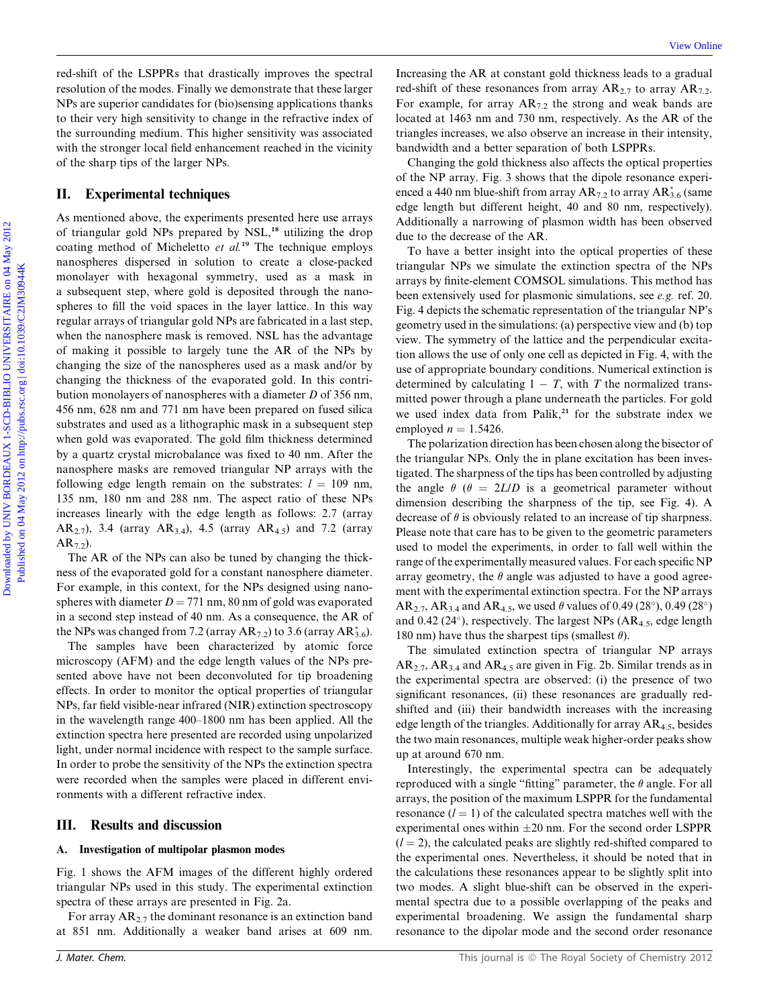red-shift of the LSPPRs that drastically improves the spectral resolution of the modes. Finally we demonstrate that these larger NPs are superior candidates for (bio)sensing applications thanks to their very high sensitivity to change in the refractive index of the surrounding medium. This higher sensitivity was associated with the stronger local field enhancement reached in the vicinity of the sharp tips of the larger NPs.

#### II. Experimental techniques

As mentioned above, the experiments presented here use arrays of triangular gold NPs prepared by NSL,<sup>18</sup> utilizing the drop coating method of Micheletto  $et$  al.<sup>19</sup> The technique employs nanospheres dispersed in solution to create a close-packed monolayer with hexagonal symmetry, used as a mask in a subsequent step, where gold is deposited through the nanospheres to fill the void spaces in the layer lattice. In this way regular arrays of triangular gold NPs are fabricated in a last step, when the nanosphere mask is removed. NSL has the advantage of making it possible to largely tune the AR of the NPs by changing the size of the nanospheres used as a mask and/or by changing the thickness of the evaporated gold. In this contribution monolayers of nanospheres with a diameter D of 356 nm, 456 nm, 628 nm and 771 nm have been prepared on fused silica substrates and used as a lithographic mask in a subsequent step when gold was evaporated. The gold film thickness determined by a quartz crystal microbalance was fixed to 40 nm. After the nanosphere masks are removed triangular NP arrays with the following edge length remain on the substrates:  $l = 109$  nm, 135 nm, 180 nm and 288 nm. The aspect ratio of these NPs increases linearly with the edge length as follows: 2.7 (array AR<sub>2.7</sub>), 3.4 (array AR<sub>3.4</sub>), 4.5 (array AR<sub>4.5</sub>) and 7.2 (array  $AR<sub>7.2</sub>$ ). rod-hidi of the LSPRRs that durationly improves the spectral lectronian the AR at constant goal brican controlled by the particular scale of the SNRs and the UNIVERSITATION of the SNRS and the UNIVERSITATION (1) the stren

The AR of the NPs can also be tuned by changing the thickness of the evaporated gold for a constant nanosphere diameter. For example, in this context, for the NPs designed using nanospheres with diameter  $D = 771$  nm, 80 nm of gold was evaporated in a second step instead of 40 nm. As a consequence, the AR of the NPs was changed from 7.2 (array  $AR_{7.2}$ ) to 3.6 (array  $AR_{3.6}^*$ ).

The samples have been characterized by atomic force microscopy (AFM) and the edge length values of the NPs presented above have not been deconvoluted for tip broadening effects. In order to monitor the optical properties of triangular NPs, far field visible-near infrared (NIR) extinction spectroscopy in the wavelength range 400–1800 nm has been applied. All the extinction spectra here presented are recorded using unpolarized light, under normal incidence with respect to the sample surface. In order to probe the sensitivity of the NPs the extinction spectra were recorded when the samples were placed in different environments with a different refractive index.

# III. Results and discussion

#### A. Investigation of multipolar plasmon modes

Fig. 1 shows the AFM images of the different highly ordered triangular NPs used in this study. The experimental extinction spectra of these arrays are presented in Fig. 2a.

For array  $AR_{2.7}$  the dominant resonance is an extinction band at 851 nm. Additionally a weaker band arises at 609 nm.

Increasing the AR at constant gold thickness leads to a gradual red-shift of these resonances from array  $AR_{2.7}$  to array  $AR_{7.2}$ . For example, for array  $AR_{7,2}$  the strong and weak bands are located at 1463 nm and 730 nm, respectively. As the AR of the triangles increases, we also observe an increase in their intensity, bandwidth and a better separation of both LSPPRs.

Changing the gold thickness also affects the optical properties of the NP array. Fig. 3 shows that the dipole resonance experienced a 440 nm blue-shift from array  $AR_{7,2}$  to array  $AR_{3,6}^*$  (same edge length but different height, 40 and 80 nm, respectively). Additionally a narrowing of plasmon width has been observed due to the decrease of the AR.

To have a better insight into the optical properties of these triangular NPs we simulate the extinction spectra of the NPs arrays by finite-element COMSOL simulations. This method has been extensively used for plasmonic simulations, see e.g. ref. 20. Fig. 4 depicts the schematic representation of the triangular NP's geometry used in the simulations: (a) perspective view and (b) top view. The symmetry of the lattice and the perpendicular excitation allows the use of only one cell as depicted in Fig. 4, with the use of appropriate boundary conditions. Numerical extinction is determined by calculating  $1 - T$ , with T the normalized transmitted power through a plane underneath the particles. For gold we used index data from Palik,<sup>21</sup> for the substrate index we employed  $n = 1.5426$ .

The polarization direction has been chosen along the bisector of the triangular NPs. Only the in plane excitation has been investigated. The sharpness of the tips has been controlled by adjusting the angle  $\theta$  ( $\theta = 2L/D$  is a geometrical parameter without dimension describing the sharpness of the tip, see Fig. 4). A decrease of  $\theta$  is obviously related to an increase of tip sharpness. Please note that care has to be given to the geometric parameters used to model the experiments, in order to fall well within the range of the experimentally measured values. For each specific NP array geometry, the  $\theta$  angle was adjusted to have a good agreement with the experimental extinction spectra. For the NP arrays  $AR_{2,7}$ ,  $AR_{3,4}$  and  $AR_{4,5}$ , we used  $\theta$  values of 0.49 (28°), 0.49 (28°) and 0.42 (24 $\degree$ ), respectively. The largest NPs (AR<sub>4.5</sub>, edge length 180 nm) have thus the sharpest tips (smallest  $\theta$ ).

The simulated extinction spectra of triangular NP arrays  $AR_{2.7}$ ,  $AR_{3.4}$  and  $AR_{4.5}$  are given in Fig. 2b. Similar trends as in the experimental spectra are observed: (i) the presence of two significant resonances, (ii) these resonances are gradually redshifted and (iii) their bandwidth increases with the increasing edge length of the triangles. Additionally for array  $AR_{4.5}$ , besides the two main resonances, multiple weak higher-order peaks show up at around 670 nm.

Interestingly, the experimental spectra can be adequately reproduced with a single "fitting" parameter, the  $\theta$  angle. For all arrays, the position of the maximum LSPPR for the fundamental resonance  $(l = 1)$  of the calculated spectra matches well with the experimental ones within  $\pm 20$  nm. For the second order LSPPR  $(l = 2)$ , the calculated peaks are slightly red-shifted compared to the experimental ones. Nevertheless, it should be noted that in the calculations these resonances appear to be slightly split into two modes. A slight blue-shift can be observed in the experimental spectra due to a possible overlapping of the peaks and experimental broadening. We assign the fundamental sharp resonance to the dipolar mode and the second order resonance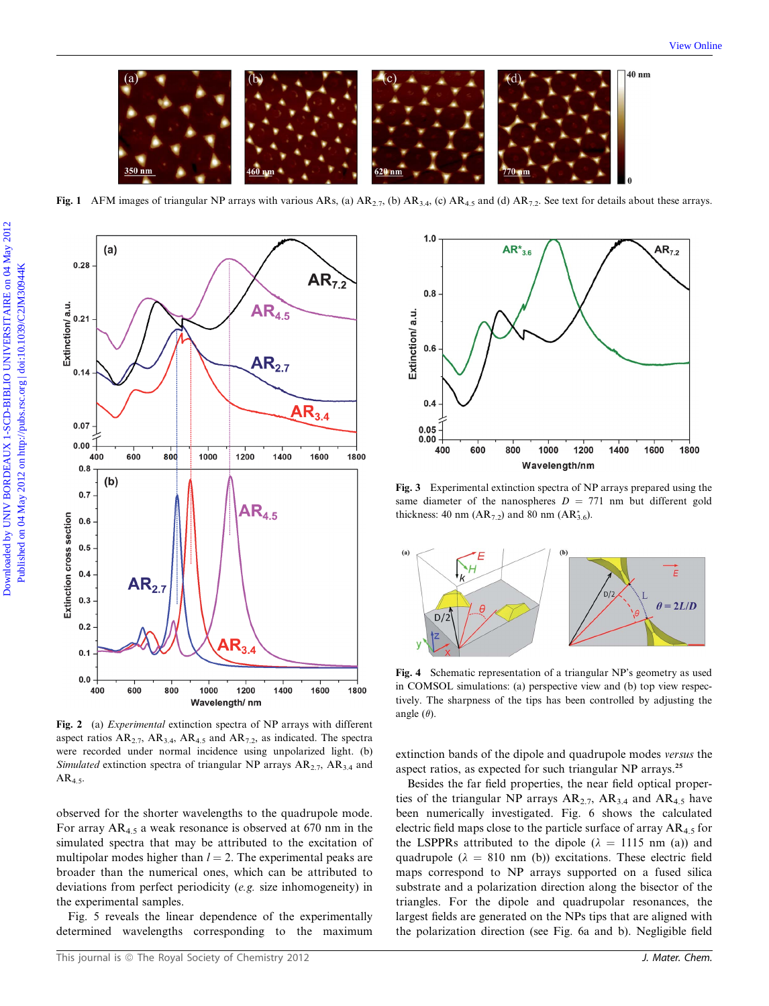

Fig. 1 AFM images of triangular NP arrays with various ARs, (a)  $AR_{2,7}$ , (b)  $AR_{3,4}$ , (c)  $AR_{4,5}$  and (d)  $AR_{7,2}$ . See text for details about these arrays.



Fig. 2 (a) Experimental extinction spectra of NP arrays with different aspect ratios  $AR_{2.7}$ ,  $AR_{3.4}$ ,  $AR_{4.5}$  and  $AR_{7.2}$ , as indicated. The spectra were recorded under normal incidence using unpolarized light. (b) Simulated extinction spectra of triangular NP arrays  $AR_{2,7}$ ,  $AR_{3,4}$  and  $AR<sub>4.5</sub>$ .

observed for the shorter wavelengths to the quadrupole mode. For array  $AR_{4.5}$  a weak resonance is observed at 670 nm in the simulated spectra that may be attributed to the excitation of multipolar modes higher than  $l = 2$ . The experimental peaks are broader than the numerical ones, which can be attributed to deviations from perfect periodicity (e.g. size inhomogeneity) in the experimental samples.

Fig. 5 reveals the linear dependence of the experimentally determined wavelengths corresponding to the maximum



Fig. 3 Experimental extinction spectra of NP arrays prepared using the same diameter of the nanospheres  $D = 771$  nm but different gold thickness: 40 nm  $(AR_{7.2})$  and 80 nm  $(AR_{3.6})$ .



Fig. 4 Schematic representation of a triangular NP's geometry as used in COMSOL simulations: (a) perspective view and (b) top view respectively. The sharpness of the tips has been controlled by adjusting the angle  $(\theta)$ .

extinction bands of the dipole and quadrupole modes versus the aspect ratios, as expected for such triangular NP arrays.<sup>25</sup>

Besides the far field properties, the near field optical properties of the triangular NP arrays  $AR_{2.7}$ ,  $AR_{3.4}$  and  $AR_{4.5}$  have been numerically investigated. Fig. 6 shows the calculated electric field maps close to the particle surface of array  $AR_{4,5}$  for the LSPPRs attributed to the dipole ( $\lambda = 1115$  nm (a)) and quadrupole ( $\lambda = 810$  nm (b)) excitations. These electric field maps correspond to NP arrays supported on a fused silica substrate and a polarization direction along the bisector of the triangles. For the dipole and quadrupolar resonances, the largest fields are generated on the NPs tips that are aligned with the polarization direction (see Fig. 6a and b). Negligible field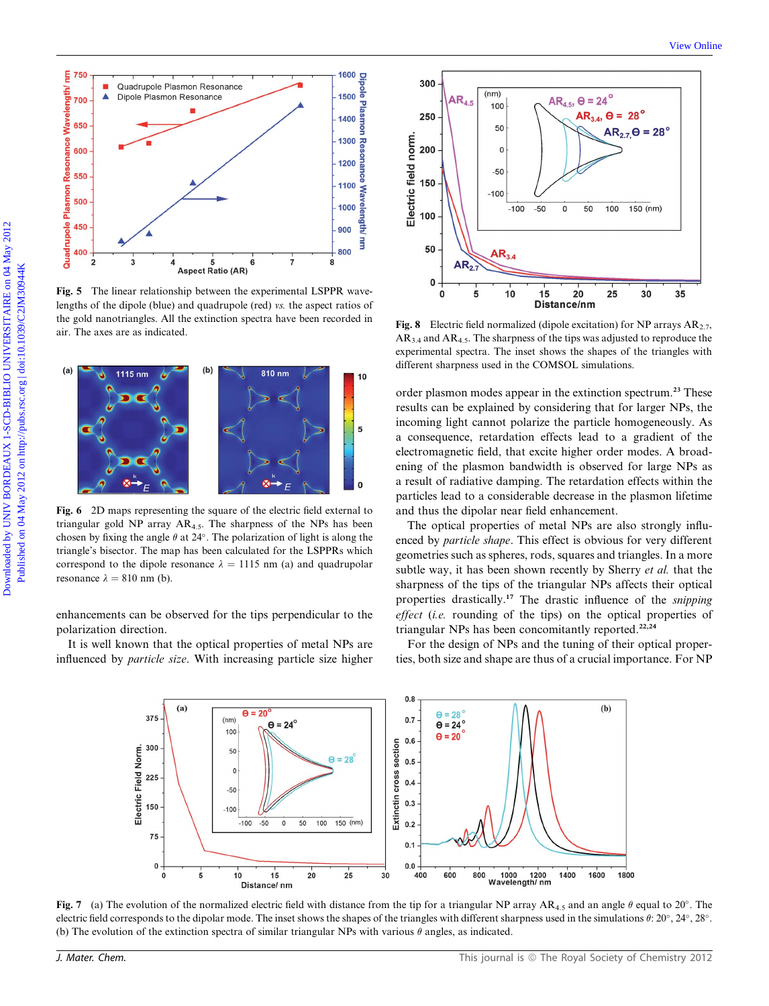

Fig. 5 The linear relationship between the experimental LSPPR wavelengths of the dipole (blue) and quadrupole (red) vs. the aspect ratios of the gold nanotriangles. All the extinction spectra have been recorded in air. The axes are as indicated.



Fig. 6 2D maps representing the square of the electric field external to triangular gold NP array  $AR_{4.5}$ . The sharpness of the NPs has been chosen by fixing the angle  $\theta$  at 24°. The polarization of light is along the triangle's bisector. The map has been calculated for the LSPPRs which correspond to the dipole resonance  $\lambda = 1115$  nm (a) and quadrupolar resonance  $\lambda = 810$  nm (b).

enhancements can be observed for the tips perpendicular to the polarization direction.

It is well known that the optical properties of metal NPs are influenced by particle size. With increasing particle size higher



Fig. 8 Electric field normalized (dipole excitation) for NP arrays  $AR_{2,7}$ ,  $AR_{3,4}$  and  $AR_{4,5}$ . The sharpness of the tips was adjusted to reproduce the experimental spectra. The inset shows the shapes of the triangles with different sharpness used in the COMSOL simulations.

order plasmon modes appear in the extinction spectrum.<sup>23</sup> These results can be explained by considering that for larger NPs, the incoming light cannot polarize the particle homogeneously. As a consequence, retardation effects lead to a gradient of the electromagnetic field, that excite higher order modes. A broadening of the plasmon bandwidth is observed for large NPs as a result of radiative damping. The retardation effects within the particles lead to a considerable decrease in the plasmon lifetime and thus the dipolar near field enhancement.

The optical properties of metal NPs are also strongly influenced by particle shape. This effect is obvious for very different geometries such as spheres, rods, squares and triangles. In a more subtle way, it has been shown recently by Sherry *et al.* that the sharpness of the tips of the triangular NPs affects their optical properties drastically.<sup>17</sup> The drastic influence of the snipping effect (i.e. rounding of the tips) on the optical properties of triangular NPs has been concomitantly reported.<sup>22,24</sup>

For the design of NPs and the tuning of their optical properties, both size and shape are thus of a crucial importance. For NP



Fig. 7 (a) The evolution of the normalized electric field with distance from the tip for a triangular NP array AR<sub>4.5</sub> and an angle  $\theta$  equal to 20°. The electric field corresponds to the dipolar mode. The inset shows the shapes of the triangles with different sharpness used in the simulations  $\theta$ : 20°, 24°, 28°. (b) The evolution of the extinction spectra of similar triangular NPs with various  $\theta$  angles, as indicated.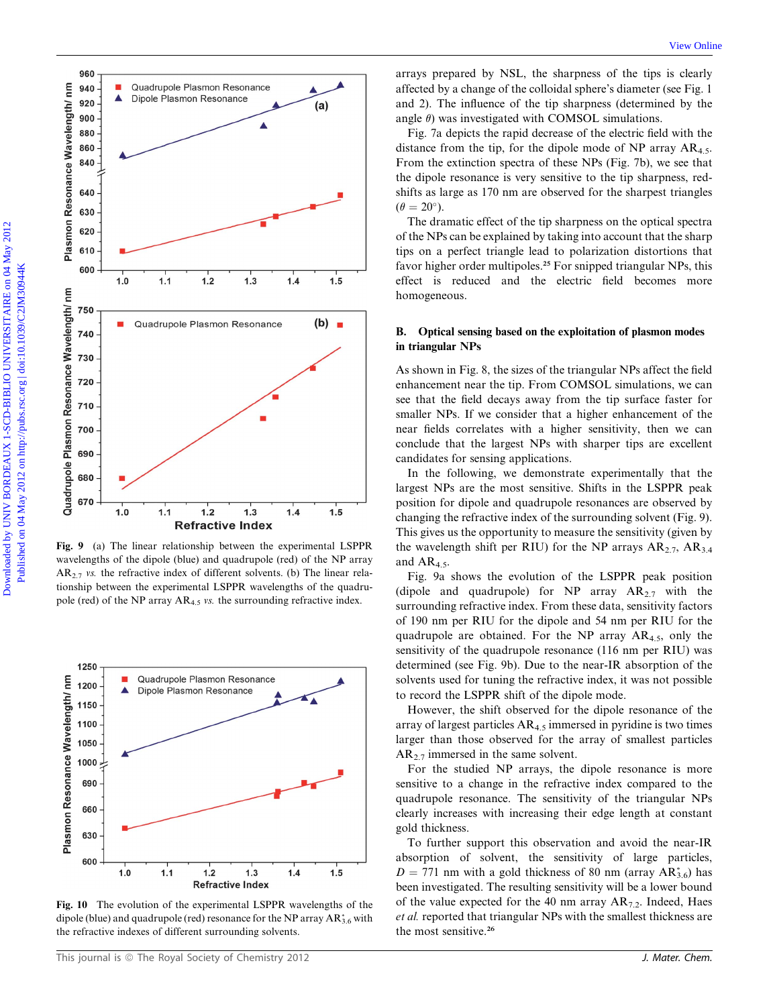

Fig. 9 (a) The linear relationship between the experimental LSPPR wavelengths of the dipole (blue) and quadrupole (red) of the NP array  $AR_{27}$  vs. the refractive index of different solvents. (b) The linear relationship between the experimental LSPPR wavelengths of the quadrupole (red) of the NP array  $AR_{4.5}$  vs. the surrounding refractive index.



Fig. 10 The evolution of the experimental LSPPR wavelengths of the dipole (blue) and quadrupole (red) resonance for the NP array  $AR^*_{3.6}$  with the refractive indexes of different surrounding solvents.

arrays prepared by NSL, the sharpness of the tips is clearly affected by a change of the colloidal sphere's diameter (see Fig. 1 and 2). The influence of the tip sharpness (determined by the angle  $\theta$ ) was investigated with COMSOL simulations.

Fig. 7a depicts the rapid decrease of the electric field with the distance from the tip, for the dipole mode of NP array  $AR_{4.5}$ . From the extinction spectra of these NPs (Fig. 7b), we see that the dipole resonance is very sensitive to the tip sharpness, redshifts as large as 170 nm are observed for the sharpest triangles  $(\theta = 20^{\circ}).$ 

The dramatic effect of the tip sharpness on the optical spectra of the NPs can be explained by taking into account that the sharp tips on a perfect triangle lead to polarization distortions that favor higher order multipoles.<sup>25</sup> For snipped triangular NPs, this effect is reduced and the electric field becomes more homogeneous.

#### B. Optical sensing based on the exploitation of plasmon modes in triangular NPs

As shown in Fig. 8, the sizes of the triangular NPs affect the field enhancement near the tip. From COMSOL simulations, we can see that the field decays away from the tip surface faster for smaller NPs. If we consider that a higher enhancement of the near fields correlates with a higher sensitivity, then we can conclude that the largest NPs with sharper tips are excellent candidates for sensing applications.

In the following, we demonstrate experimentally that the largest NPs are the most sensitive. Shifts in the LSPPR peak position for dipole and quadrupole resonances are observed by changing the refractive index of the surrounding solvent (Fig. 9). This gives us the opportunity to measure the sensitivity (given by the wavelength shift per RIU) for the NP arrays  $AR_{2.7}$ ,  $AR_{3.4}$ and  $AR_{4.5}$ .

Fig. 9a shows the evolution of the LSPPR peak position (dipole and quadrupole) for NP array  $AR_{2.7}$  with the surrounding refractive index. From these data, sensitivity factors of 190 nm per RIU for the dipole and 54 nm per RIU for the quadrupole are obtained. For the NP array  $AR_{4.5}$ , only the sensitivity of the quadrupole resonance (116 nm per RIU) was determined (see Fig. 9b). Due to the near-IR absorption of the solvents used for tuning the refractive index, it was not possible to record the LSPPR shift of the dipole mode.

However, the shift observed for the dipole resonance of the array of largest particles  $AR_{4.5}$  immersed in pyridine is two times larger than those observed for the array of smallest particles  $AR_{2.7}$  immersed in the same solvent.

For the studied NP arrays, the dipole resonance is more sensitive to a change in the refractive index compared to the quadrupole resonance. The sensitivity of the triangular NPs clearly increases with increasing their edge length at constant gold thickness.

To further support this observation and avoid the near-IR absorption of solvent, the sensitivity of large particles,  $D = 771$  nm with a gold thickness of 80 nm (array  $AR_{3.6}^{*}$ ) has been investigated. The resulting sensitivity will be a lower bound of the value expected for the 40 nm array  $AR_{7,2}$ . Indeed, Haes et al. reported that triangular NPs with the smallest thickness are the most sensitive.<sup>26</sup>